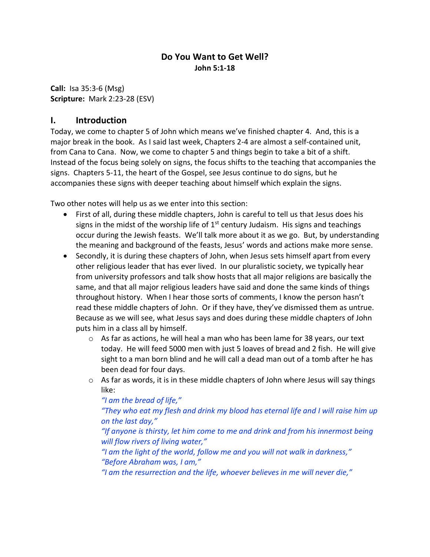# **Do You Want to Get Well? John 5:1-18**

**Call:** Isa 35:3-6 (Msg) **Scripture:** Mark 2:23-28 (ESV)

### **I. Introduction**

Today, we come to chapter 5 of John which means we've finished chapter 4. And, this is a major break in the book. As I said last week, Chapters 2-4 are almost a self-contained unit, from Cana to Cana. Now, we come to chapter 5 and things begin to take a bit of a shift. Instead of the focus being solely on signs, the focus shifts to the teaching that accompanies the signs. Chapters 5-11, the heart of the Gospel, see Jesus continue to do signs, but he accompanies these signs with deeper teaching about himself which explain the signs.

Two other notes will help us as we enter into this section:

- First of all, during these middle chapters, John is careful to tell us that Jesus does his signs in the midst of the worship life of  $1<sup>st</sup>$  century Judaism. His signs and teachings occur during the Jewish feasts. We'll talk more about it as we go. But, by understanding the meaning and background of the feasts, Jesus' words and actions make more sense.
- Secondly, it is during these chapters of John, when Jesus sets himself apart from every other religious leader that has ever lived. In our pluralistic society, we typically hear from university professors and talk show hosts that all major religions are basically the same, and that all major religious leaders have said and done the same kinds of things throughout history. When I hear those sorts of comments, I know the person hasn't read these middle chapters of John. Or if they have, they've dismissed them as untrue. Because as we will see, what Jesus says and does during these middle chapters of John puts him in a class all by himself.
	- $\circ$  As far as actions, he will heal a man who has been lame for 38 years, our text today. He will feed 5000 men with just 5 loaves of bread and 2 fish. He will give sight to a man born blind and he will call a dead man out of a tomb after he has been dead for four days.
	- $\circ$  As far as words, it is in these middle chapters of John where Jesus will say things like:

*"I am the bread of life,"* 

*"They who eat my flesh and drink my blood has eternal life and I will raise him up on the last day,"* 

*"If anyone is thirsty, let him come to me and drink and from his innermost being will flow rivers of living water,"*

*"I am the light of the world, follow me and you will not walk in darkness," "Before Abraham was, I am,"* 

*"I am the resurrection and the life, whoever believes in me will never die,"*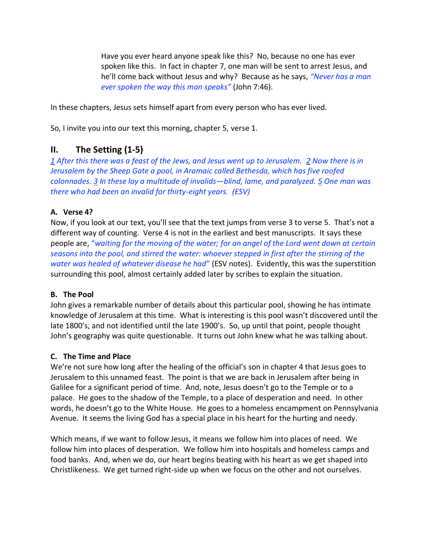Have you ever heard anyone speak like this? No, because no one has ever spoken like this. In fact in chapter 7, one man will be sent to arrest Jesus, and he'll come back without Jesus and why? Because as he says, *"Never has a man ever spoken the way this man speaks"* (John 7:46).

In these chapters, Jesus sets himself apart from every person who has ever lived.

So, I invite you into our text this morning, chapter 5, verse 1.

## **II. The Setting (1-5)**

*1 After this there was a feast of the Jews, and Jesus went up to Jerusalem. 2 Now there is in Jerusalem by the Sheep Gate a pool, in Aramaic called Bethesda, which has five roofed colonnades. 3 In these lay a multitude of invalids—blind, lame, and paralyzed. 5 One man was there who had been an invalid for thirty-eight years. (ESV)*

#### **A. Verse 4?**

Now, if you look at our text, you'll see that the text jumps from verse 3 to verse 5. That's not a different way of counting. Verse 4 is not in the earliest and best manuscripts. It says these people are, "*waiting for the moving of the water; for an angel of the Lord went down at certain seasons into the pool, and stirred the water: whoever stepped in first after the stirring of the water was healed of whatever disease he had*" (ESV notes). Evidently, this was the superstition surrounding this pool, almost certainly added later by scribes to explain the situation.

#### **B. The Pool**

John gives a remarkable number of details about this particular pool, showing he has intimate knowledge of Jerusalem at this time. What is interesting is this pool wasn't discovered until the late 1800's, and not identified until the late 1900's. So, up until that point, people thought John's geography was quite questionable. It turns out John knew what he was talking about.

#### **C. The Time and Place**

We're not sure how long after the healing of the official's son in chapter 4 that Jesus goes to Jerusalem to this unnamed feast. The point is that we are back in Jerusalem after being in Galilee for a significant period of time. And, note, Jesus doesn't go to the Temple or to a palace. He goes to the shadow of the Temple, to a place of desperation and need. In other words, he doesn't go to the White House. He goes to a homeless encampment on Pennsylvania Avenue. It seems the living God has a special place in his heart for the hurting and needy.

Which means, if we want to follow Jesus, it means we follow him into places of need. We follow him into places of desperation. We follow him into hospitals and homeless camps and food banks. And, when we do, our heart begins beating with his heart as we get shaped into Christlikeness. We get turned right-side up when we focus on the other and not ourselves.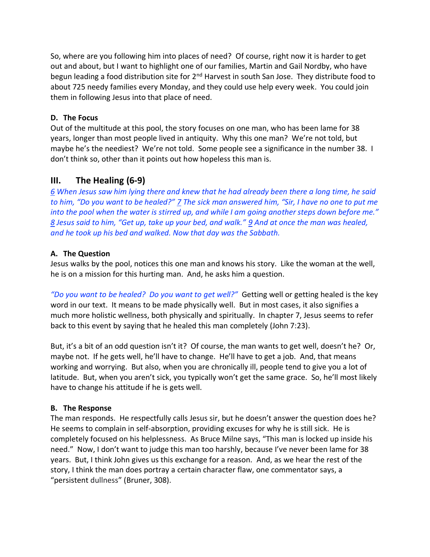So, where are you following him into places of need? Of course, right now it is harder to get out and about, but I want to highlight one of our families, Martin and Gail Nordby, who have begun leading a food distribution site for 2<sup>nd</sup> Harvest in south San Jose. They distribute food to about 725 needy families every Monday, and they could use help every week. You could join them in following Jesus into that place of need.

#### **D. The Focus**

Out of the multitude at this pool, the story focuses on one man, who has been lame for 38 years, longer than most people lived in antiquity. Why this one man? We're not told, but maybe he's the neediest? We're not told. Some people see a significance in the number 38. I don't think so, other than it points out how hopeless this man is.

# **III. The Healing (6-9)**

*6 When Jesus saw him lying there and knew that he had already been there a long time, he said to him, "Do you want to be healed?" 7 The sick man answered him, "Sir, I have no one to put me into the pool when the water is stirred up, and while I am going another steps down before me." 8 Jesus said to him, "Get up, take up your bed, and walk." 9 And at once the man was healed, and he took up his bed and walked. Now that day was the Sabbath.*

#### **A. The Question**

Jesus walks by the pool, notices this one man and knows his story. Like the woman at the well, he is on a mission for this hurting man. And, he asks him a question.

*"Do you want to be healed? Do you want to get well?"* Getting well or getting healed is the key word in our text. It means to be made physically well. But in most cases, it also signifies a much more holistic wellness, both physically and spiritually. In chapter 7, Jesus seems to refer back to this event by saying that he healed this man completely (John 7:23).

But, it's a bit of an odd question isn't it? Of course, the man wants to get well, doesn't he? Or, maybe not. If he gets well, he'll have to change. He'll have to get a job. And, that means working and worrying. But also, when you are chronically ill, people tend to give you a lot of latitude. But, when you aren't sick, you typically won't get the same grace. So, he'll most likely have to change his attitude if he is gets well.

#### **B. The Response**

The man responds. He respectfully calls Jesus sir, but he doesn't answer the question does he? He seems to complain in self-absorption, providing excuses for why he is still sick. He is completely focused on his helplessness. As Bruce Milne says, "This man is locked up inside his need." Now, I don't want to judge this man too harshly, because I've never been lame for 38 years. But, I think John gives us this exchange for a reason. And, as we hear the rest of the story, I think the man does portray a certain character flaw, one commentator says, a "persistent dullness" (Bruner, 308).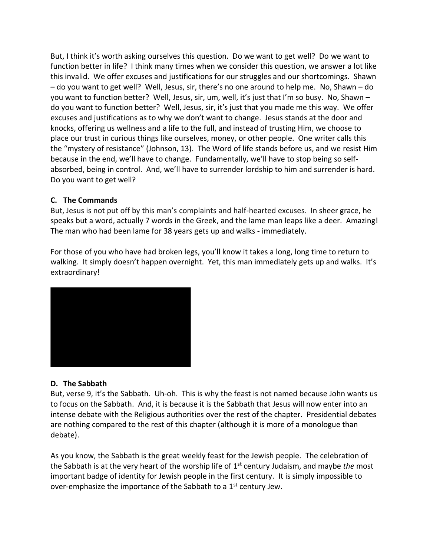But, I think it's worth asking ourselves this question. Do we want to get well? Do we want to function better in life? I think many times when we consider this question, we answer a lot like this invalid. We offer excuses and justifications for our struggles and our shortcomings. Shawn – do you want to get well? Well, Jesus, sir, there's no one around to help me. No, Shawn – do you want to function better? Well, Jesus, sir, um, well, it's just that I'm so busy. No, Shawn – do you want to function better? Well, Jesus, sir, it's just that you made me this way. We offer excuses and justifications as to why we don't want to change. Jesus stands at the door and knocks, offering us wellness and a life to the full, and instead of trusting Him, we choose to place our trust in curious things like ourselves, money, or other people. One writer calls this the "mystery of resistance" (Johnson, 13). The Word of life stands before us, and we resist Him because in the end, we'll have to change. Fundamentally, we'll have to stop being so selfabsorbed, being in control. And, we'll have to surrender lordship to him and surrender is hard. Do you want to get well?

#### **C. The Commands**

But, Jesus is not put off by this man's complaints and half-hearted excuses. In sheer grace, he speaks but a word, actually 7 words in the Greek, and the lame man leaps like a deer. Amazing! The man who had been lame for 38 years gets up and walks - immediately.

For those of you who have had broken legs, you'll know it takes a long, long time to return to walking. It simply doesn't happen overnight. Yet, this man immediately gets up and walks. It's extraordinary!



#### **D. The Sabbath**

But, verse 9, it's the Sabbath. Uh-oh. This is why the feast is not named because John wants us to focus on the Sabbath. And, it is because it is the Sabbath that Jesus will now enter into an intense debate with the Religious authorities over the rest of the chapter. Presidential debates are nothing compared to the rest of this chapter (although it is more of a monologue than debate).

As you know, the Sabbath is the great weekly feast for the Jewish people. The celebration of the Sabbath is at the very heart of the worship life of 1st century Judaism, and maybe *the* most important badge of identity for Jewish people in the first century. It is simply impossible to over-emphasize the importance of the Sabbath to a 1<sup>st</sup> century Jew.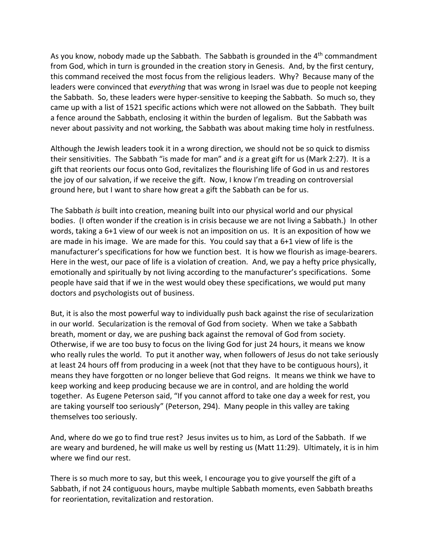As you know, nobody made up the Sabbath. The Sabbath is grounded in the  $4<sup>th</sup>$  commandment from God, which in turn is grounded in the creation story in Genesis. And, by the first century, this command received the most focus from the religious leaders. Why? Because many of the leaders were convinced that *everything* that was wrong in Israel was due to people not keeping the Sabbath. So, these leaders were hyper-sensitive to keeping the Sabbath. So much so, they came up with a list of 1521 specific actions which were not allowed on the Sabbath. They built a fence around the Sabbath, enclosing it within the burden of legalism. But the Sabbath was never about passivity and not working, the Sabbath was about making time holy in restfulness.

Although the Jewish leaders took it in a wrong direction, we should not be so quick to dismiss their sensitivities. The Sabbath "is made for man" and *is* a great gift for us (Mark 2:27). It is a gift that reorients our focus onto God, revitalizes the flourishing life of God in us and restores the joy of our salvation, if we receive the gift. Now, I know I'm treading on controversial ground here, but I want to share how great a gift the Sabbath can be for us.

The Sabbath *is* built into creation, meaning built into our physical world and our physical bodies. (I often wonder if the creation is in crisis because we are not living a Sabbath.) In other words, taking a 6+1 view of our week is not an imposition on us. It is an exposition of how we are made in his image. We are made for this. You could say that a 6+1 view of life is the manufacturer's specifications for how we function best. It is how we flourish as image-bearers. Here in the west, our pace of life is a violation of creation. And, we pay a hefty price physically, emotionally and spiritually by not living according to the manufacturer's specifications. Some people have said that if we in the west would obey these specifications, we would put many doctors and psychologists out of business.

But, it is also the most powerful way to individually push back against the rise of secularization in our world. Secularization is the removal of God from society. When we take a Sabbath breath, moment or day, we are pushing back against the removal of God from society. Otherwise, if we are too busy to focus on the living God for just 24 hours, it means we know who really rules the world. To put it another way, when followers of Jesus do not take seriously at least 24 hours off from producing in a week (not that they have to be contiguous hours), it means they have forgotten or no longer believe that God reigns. It means we think we have to keep working and keep producing because we are in control, and are holding the world together. As Eugene Peterson said, "If you cannot afford to take one day a week for rest, you are taking yourself too seriously" (Peterson, 294). Many people in this valley are taking themselves too seriously.

And, where do we go to find true rest? Jesus invites us to him, as Lord of the Sabbath. If we are weary and burdened, he will make us well by resting us (Matt 11:29). Ultimately, it is in him where we find our rest.

There is so much more to say, but this week, I encourage you to give yourself the gift of a Sabbath, if not 24 contiguous hours, maybe multiple Sabbath moments, even Sabbath breaths for reorientation, revitalization and restoration.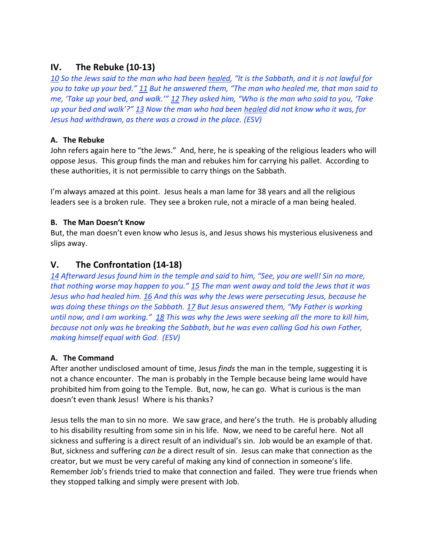# **IV. The Rebuke (10-13)**

*10 So the Jews said to the man who had been healed, "It is the Sabbath, and it is not lawful for you to take up your bed." 11 But he answered them, "The man who healed me, that man said to me, 'Take up your bed, and walk.'" 12 They asked him, "Who is the man who said to you, 'Take up your bed and walk'?" 13 Now the man who had been healed did not know who it was, for Jesus had withdrawn, as there was a crowd in the place. (ESV)*

#### **A. The Rebuke**

John refers again here to "the Jews." And, here, he is speaking of the religious leaders who will oppose Jesus. This group finds the man and rebukes him for carrying his pallet. According to these authorities, it is not permissible to carry things on the Sabbath.

I'm always amazed at this point. Jesus heals a man lame for 38 years and all the religious leaders see is a broken rule. They see a broken rule, not a miracle of a man being healed.

#### **B. The Man Doesn't Know**

But, the man doesn't even know who Jesus is, and Jesus shows his mysterious elusiveness and slips away.

# **V. The Confrontation (14-18)**

*14 Afterward Jesus found him in the temple and said to him, "See, you are well! Sin no more, that nothing worse may happen to you." 15 The man went away and told the Jews that it was Jesus who had healed him. 16 And this was why the Jews were persecuting Jesus, because he was doing these things on the Sabbath. 17 But Jesus answered them, "My Father is working until now, and I am working." 18 This was why the Jews were seeking all the more to kill him, because not only was he breaking the Sabbath, but he was even calling God his own Father, making himself equal with God. (ESV)*

## **A. The Command**

After another undisclosed amount of time, Jesus *finds* the man in the temple, suggesting it is not a chance encounter. The man is probably in the Temple because being lame would have prohibited him from going to the Temple. But, now, he can go. What is curious is the man doesn't even thank Jesus! Where is his thanks?

Jesus tells the man to sin no more. We saw grace, and here's the truth. He is probably alluding to his disability resulting from some sin in his life. Now, we need to be careful here. Not all sickness and suffering is a direct result of an individual's sin. Job would be an example of that. But, sickness and suffering *can be* a direct result of sin. Jesus can make that connection as the creator, but we must be very careful of making any kind of connection in someone's life. Remember Job's friends tried to make that connection and failed. They were true friends when they stopped talking and simply were present with Job.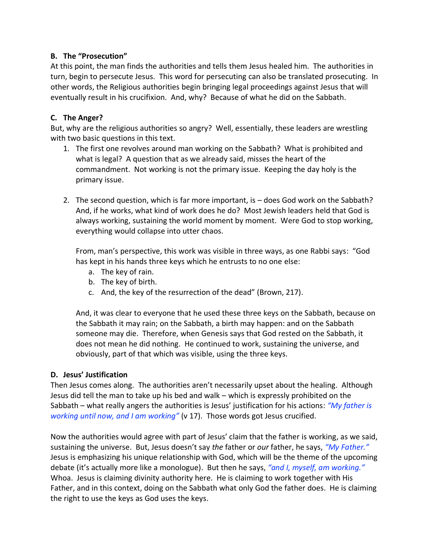#### **B. The "Prosecution"**

At this point, the man finds the authorities and tells them Jesus healed him. The authorities in turn, begin to persecute Jesus. This word for persecuting can also be translated prosecuting. In other words, the Religious authorities begin bringing legal proceedings against Jesus that will eventually result in his crucifixion. And, why? Because of what he did on the Sabbath.

### **C. The Anger?**

But, why are the religious authorities so angry? Well, essentially, these leaders are wrestling with two basic questions in this text.

- 1. The first one revolves around man working on the Sabbath? What is prohibited and what is legal? A question that as we already said, misses the heart of the commandment. Not working is not the primary issue. Keeping the day holy is the primary issue.
- 2. The second question, which is far more important, is does God work on the Sabbath? And, if he works, what kind of work does he do? Most Jewish leaders held that God is always working, sustaining the world moment by moment. Were God to stop working, everything would collapse into utter chaos.

From, man's perspective, this work was visible in three ways, as one Rabbi says: "God has kept in his hands three keys which he entrusts to no one else:

- a. The key of rain.
- b. The key of birth.
- c. And, the key of the resurrection of the dead" (Brown, 217).

And, it was clear to everyone that he used these three keys on the Sabbath, because on the Sabbath it may rain; on the Sabbath, a birth may happen: and on the Sabbath someone may die. Therefore, when Genesis says that God rested on the Sabbath, it does not mean he did nothing. He continued to work, sustaining the universe, and obviously, part of that which was visible, using the three keys.

## **D. Jesus' Justification**

Then Jesus comes along. The authorities aren't necessarily upset about the healing. Although Jesus did tell the man to take up his bed and walk – which is expressly prohibited on the Sabbath – what really angers the authorities is Jesus' justification for his actions: *"My father is working until now, and I am working"* (v 17). Those words got Jesus crucified.

Now the authorities would agree with part of Jesus' claim that the father is working, as we said, sustaining the universe. But, Jesus doesn't say *the* father or *our* father, he says, *"My Father."* Jesus is emphasizing his unique relationship with God, which will be the theme of the upcoming debate (it's actually more like a monologue). But then he says, *"and I, myself, am working."*  Whoa. Jesus is claiming divinity authority here. He is claiming to work together with His Father, and in this context, doing on the Sabbath what only God the father does. He is claiming the right to use the keys as God uses the keys.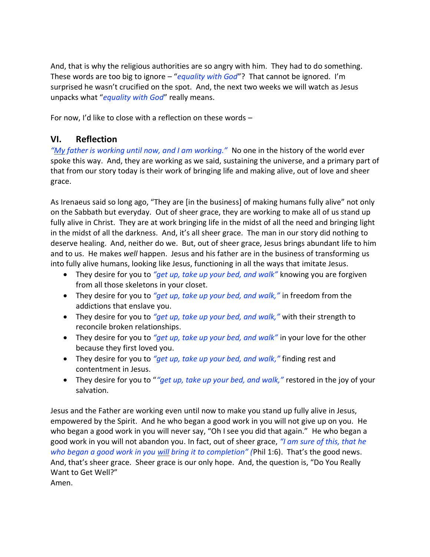And, that is why the religious authorities are so angry with him. They had to do something. These words are too big to ignore – "*equality with God*"? That cannot be ignored. I'm surprised he wasn't crucified on the spot. And, the next two weeks we will watch as Jesus unpacks what "*equality with God*" really means.

For now, I'd like to close with a reflection on these words –

## **VI. Reflection**

*"My father is working until now, and I am working."* No one in the history of the world ever spoke this way. And, they are working as we said, sustaining the universe, and a primary part of that from our story today is their work of bringing life and making alive, out of love and sheer grace.

As Irenaeus said so long ago, "They are [in the business] of making humans fully alive" not only on the Sabbath but everyday. Out of sheer grace, they are working to make all of us stand up fully alive in Christ. They are at work bringing life in the midst of all the need and bringing light in the midst of all the darkness. And, it's all sheer grace. The man in our story did nothing to deserve healing. And, neither do we. But, out of sheer grace, Jesus brings abundant life to him and to us. He makes *well* happen. Jesus and his father are in the business of transforming us into fully alive humans, looking like Jesus, functioning in all the ways that imitate Jesus.

- They desire for you to *"get up, take up your bed, and walk"* knowing you are forgiven from all those skeletons in your closet.
- They desire for you to *"get up, take up your bed, and walk,"* in freedom from the addictions that enslave you.
- They desire for you to *"get up, take up your bed, and walk,"* with their strength to reconcile broken relationships.
- They desire for you to *"get up, take up your bed, and walk"* in your love for the other because they first loved you.
- They desire for you to *"get up, take up your bed, and walk,"* finding rest and contentment in Jesus.
- They desire for you to "*"get up, take up your bed, and walk,"* restored in the joy of your salvation.

Jesus and the Father are working even until now to make you stand up fully alive in Jesus, empowered by the Spirit. And he who began a good work in you will not give up on you. He who began a good work in you will never say, "Oh I see you did that again." He who began a good work in you will not abandon you. In fact, out of sheer grace, *"I am sure of this, that he who began a good work in you will bring it to completion" (*Phil 1:6). That's the good news. And, that's sheer grace. Sheer grace is our only hope. And, the question is, "Do You Really Want to Get Well?"

Amen.